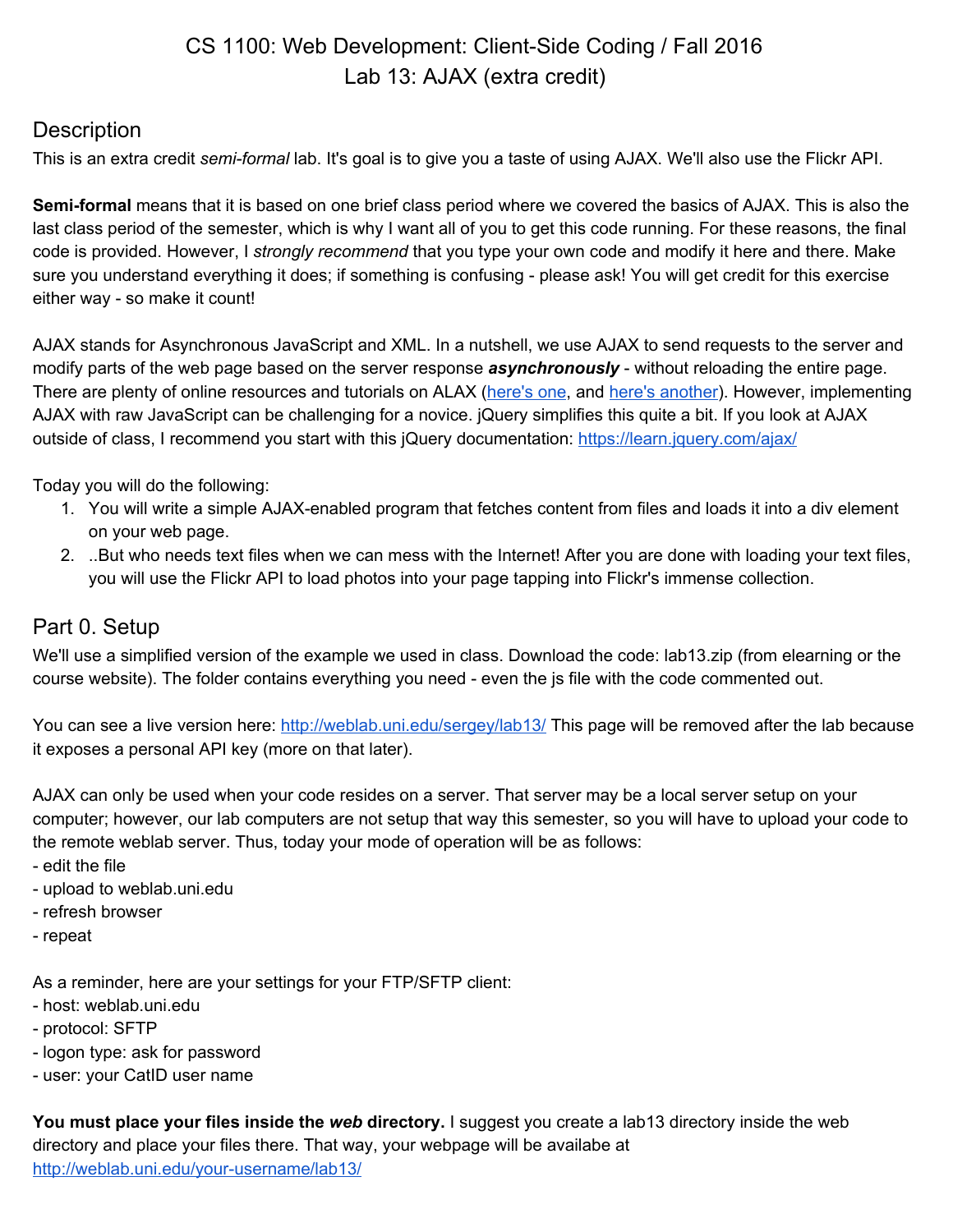# CS 1100: Web Development: Client-Side Coding / Fall 2016 Lab 13: AJAX (extra credit)

### **Description**

This is an extra credit *semi-formal* lab. It's goal is to give you a taste of using AJAX. We'll also use the Flickr API.

**Semi-formal** means that it is based on one brief class period where we covered the basics of AJAX. This is also the last class period of the semester, which is why I want all of you to get this code running. For these reasons, the final code is provided. However, I *strongly recommend* that you type your own code and modify it here and there. Make sure you understand everything it does; if something is confusing - please ask! You will get credit for this exercise either way - so make it count!

AJAX stands for Asynchronous JavaScript and XML. In a nutshell, we use AJAX to send requests to the server and modify parts of the web page based on the server response *asynchronously* - without reloading the entire page. There are plenty of online resources and tutorials on ALAX [\(here's one,](https://developer.mozilla.org/en-US/docs/AJAX/Getting_Started) and [here's another\)](http://www.xul.fr/en-xml-ajax.html). However, implementing AJAX with raw JavaScript can be challenging for a novice. jQuery simplifies this quite a bit. If you look at AJAX outside of class, I recommend you start with this jQuery documentation: <https://learn.jquery.com/ajax/>

Today you will do the following:

- 1. You will write a simple AJAX-enabled program that fetches content from files and loads it into a div element on your web page.
- 2. ..But who needs text files when we can mess with the Internet! After you are done with loading your text files, you will use the Flickr API to load photos into your page tapping into Flickr's immense collection.

### Part 0. Setup

We'll use a simplified version of the example we used in class. Download the code: lab13.zip (from elearning or the course website). The folder contains everything you need - even the js file with the code commented out.

You can see a live version here:<http://weblab.uni.edu/sergey/lab13/> This page will be removed after the lab because it exposes a personal API key (more on that later).

AJAX can only be used when your code resides on a server. That server may be a local server setup on your computer; however, our lab computers are not setup that way this semester, so you will have to upload your code to the remote weblab server. Thus, today your mode of operation will be as follows:

- edit the file
- upload to weblab.uni.edu
- refresh browser
- repeat

As a reminder, here are your settings for your FTP/SFTP client:

- host: weblab.uni.edu
- protocol: SFTP
- logon type: ask for password
- user: your CatID user name

**You must place your files inside the** *web* **directory.** I suggest you create a lab13 directory inside the web directory and place your files there. That way, your webpage will be availabe at <http://weblab.uni.edu/your-username/lab13/>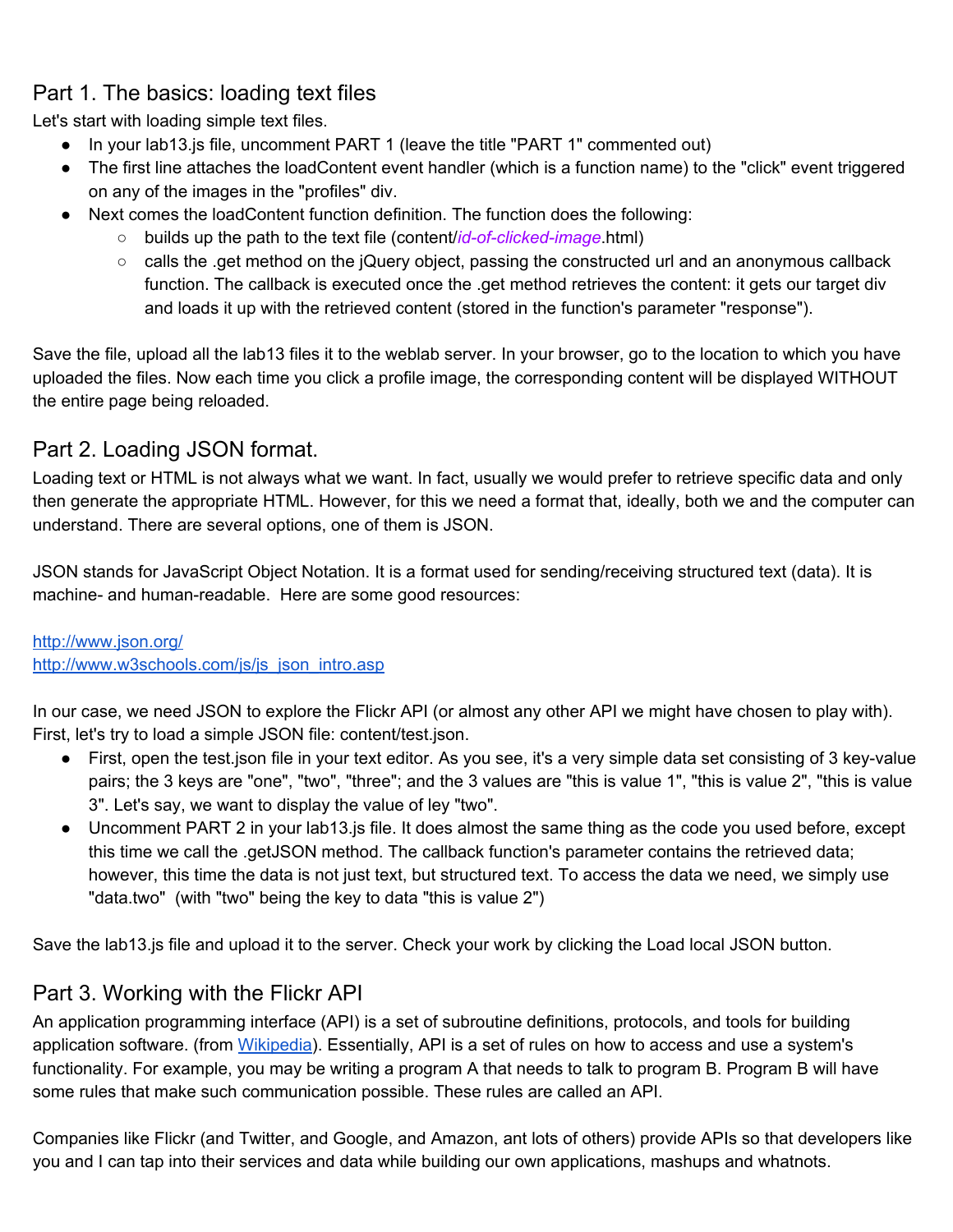# Part 1. The basics: loading text files

Let's start with loading simple text files.

- In your lab13.js file, uncomment PART 1 (leave the title "PART 1" commented out)
- The first line attaches the loadContent event handler (which is a function name) to the "click" event triggered on any of the images in the "profiles" div.
- Next comes the loadContent function definition. The function does the following:
	- builds up the path to the text file (content/*id-of-clicked-image*.html)
	- calls the .get method on the jQuery object, passing the constructed url and an anonymous callback function. The callback is executed once the .get method retrieves the content: it gets our target div and loads it up with the retrieved content (stored in the function's parameter "response").

Save the file, upload all the lab13 files it to the weblab server. In your browser, go to the location to which you have uploaded the files. Now each time you click a profile image, the corresponding content will be displayed WITHOUT the entire page being reloaded.

#### Part 2. Loading JSON format.

Loading text or HTML is not always what we want. In fact, usually we would prefer to retrieve specific data and only then generate the appropriate HTML. However, for this we need a format that, ideally, both we and the computer can understand. There are several options, one of them is JSON.

JSON stands for JavaScript Object Notation. It is a format used for sending/receiving structured text (data). It is machine- and human-readable. Here are some good resources:

# <http://www.json.org/>

[http://www.w3schools.com/js/js\\_json\\_intro.asp](http://www.w3schools.com/js/js_json_intro.asp)

In our case, we need JSON to explore the Flickr API (or almost any other API we might have chosen to play with). First, let's try to load a simple JSON file: content/test.json.

- First, open the test.json file in your text editor. As you see, it's a very simple data set consisting of 3 key-value pairs; the 3 keys are "one", "two", "three"; and the 3 values are "this is value 1", "this is value 2", "this is value 3". Let's say, we want to display the value of ley "two".
- Uncomment PART 2 in your lab13.js file. It does almost the same thing as the code you used before, except this time we call the .getJSON method. The callback function's parameter contains the retrieved data; however, this time the data is not just text, but structured text. To access the data we need, we simply use "data.two" (with "two" being the key to data "this is value 2")

Save the lab13.js file and upload it to the server. Check your work by clicking the Load local JSON button.

## Part 3. Working with the Flickr API

An application programming interface (API) is a set of subroutine definitions, protocols, and tools for building application software. (from [Wikipedia\)](https://en.wikipedia.org/wiki/Application_programming_interface). Essentially, API is a set of rules on how to access and use a system's functionality. For example, you may be writing a program A that needs to talk to program B. Program B will have some rules that make such communication possible. These rules are called an API.

Companies like Flickr (and Twitter, and Google, and Amazon, ant lots of others) provide APIs so that developers like you and I can tap into their services and data while building our own applications, mashups and whatnots.